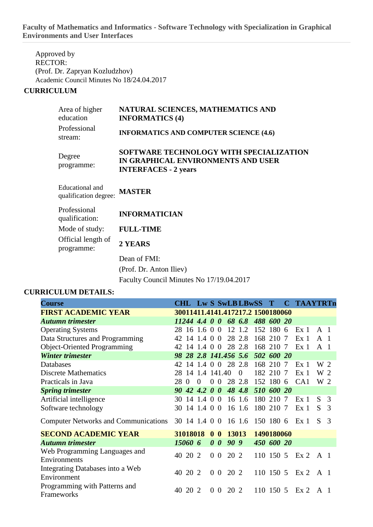**Faculty of Mathematics and Informatics - Software Technology with Specialization in Graphical Environments and User Interfaces**

Approved by RECTOR: (Prof. Dr. Zapryan Kozludzhov) Academic Council Minutes No 18/24.04.2017

## **CURRICULUM**

| Area of higher<br>education                     | NATURAL SCIENCES, MATHEMATICS AND<br><b>INFORMATICS (4)</b>                                                  |
|-------------------------------------------------|--------------------------------------------------------------------------------------------------------------|
| Professional<br>stream:                         | <b>INFORMATICS AND COMPUTER SCIENCE (4.6)</b>                                                                |
| Degree<br>programme:                            | SOFTWARE TECHNOLOGY WITH SPECIALIZATION<br>IN GRAPHICAL ENVIRONMENTS AND USER<br><b>INTERFACES - 2 years</b> |
| <b>Educational</b> and<br>qualification degree: | <b>MASTER</b>                                                                                                |
| Professional<br>qualification:                  | <b>INFORMATICIAN</b>                                                                                         |
| Mode of study:                                  | <b>FULL-TIME</b>                                                                                             |
| Official length of<br>programme:                | 2 YEARS                                                                                                      |
|                                                 | Dean of FMI:                                                                                                 |
|                                                 | (Prof. Dr. Anton Iliev)                                                                                      |
|                                                 | Faculty Council Minutes No 17/19.04.2017                                                                     |

## **CURRICULUM DETAILS:**

| <b>Course</b>                               | CHL Lw S SwLB LBwSS T             |                             |                |                |                  |                |            | <b>C</b> TAAYTRTn |                |               |
|---------------------------------------------|-----------------------------------|-----------------------------|----------------|----------------|------------------|----------------|------------|-------------------|----------------|---------------|
| <b>FIRST ACADEMIC YEAR</b>                  | 30011411.4141.417217.2 1500180060 |                             |                |                |                  |                |            |                   |                |               |
| <b>Autumn trimester</b>                     | $11244$ 4.4 0 0 68 6.8            |                             |                |                |                  |                | 488 600 20 |                   |                |               |
| <b>Operating Systems</b>                    | 28 16 1.6 0 0                     |                             |                |                |                  | 12 1.2         | 152 180 6  | Ex <sub>1</sub>   | $\mathbf{A}$ 1 |               |
| Data Structures and Programming             | 42.                               | $14$ 1.4 0 0                |                |                |                  | 28 2.8         | 168 210 7  | Ex <sub>1</sub>   | A <sub>1</sub> |               |
| <b>Object-Oriented Programming</b>          |                                   | 42 14 1.4 0 0               |                |                |                  | 28 2.8         | 168 210 7  | Ex <sub>1</sub>   | A <sub>1</sub> |               |
| <b>Winter trimester</b>                     |                                   | 98 28 2.8 141.456 5.6       |                |                |                  |                | 502 600 20 |                   |                |               |
| Databases                                   | -14<br>42.                        | 1.4 0 0 28 2.8              |                |                |                  |                | 168 210 7  | Ex <sub>1</sub>   | W 2            |               |
| <b>Discrete Mathematics</b>                 | 28 14 1.4 141.40                  |                             |                |                |                  | $\overline{0}$ | 182 210 7  | Ex <sub>1</sub>   | W 2            |               |
| Practicals in Java                          | 28<br>$\Omega$                    | $\theta$                    |                | 0 <sub>0</sub> |                  | 28 2.8         | 152 180 6  | CA1               | W 2            |               |
| <b>Spring trimester</b>                     | 90                                | $42$ 4.2 0 0                |                |                |                  | 48 4.8         | 510 600 20 |                   |                |               |
| Artificial intelligence                     | 30 14 1.4 0 0                     |                             |                |                |                  | 16 1.6         | 180 210 7  | Ex <sub>1</sub>   | S              | -3            |
| Software technology                         | 30 14 1.4 0 0                     |                             |                |                |                  | 16 1.6         | 180 210 7  | Ex <sub>1</sub>   | S.             | 3             |
| <b>Computer Networks and Communications</b> | 30 14 1.4 0 0 16 1.6 150 180 6    |                             |                |                |                  |                |            | Ex <sub>1</sub>   | S.             | $\mathcal{R}$ |
| <b>SECOND ACADEMIC YEAR</b>                 |                                   | 31018018                    | 0 <sub>0</sub> |                | 13013            |                | 1490180060 |                   |                |               |
| <b>Autumn trimester</b>                     | 15060 6                           |                             |                |                | $0 \t0 \t90 \t9$ |                | 450 600 20 |                   |                |               |
| Web Programming Languages and               | 40 20 2                           |                             | $\overline{0}$ | $\overline{0}$ | 20 2             |                | 110 150 5  | Ex2               | A 1            |               |
| Environments                                |                                   |                             |                |                |                  |                |            |                   |                |               |
| Integrating Databases into a Web            | 40 20 2                           |                             |                | 0 <sub>0</sub> | 20 2             |                | 110 150 5  | Ex2               | A 1            |               |
| Environment                                 |                                   |                             |                |                |                  |                |            |                   |                |               |
| Programming with Patterns and               | 20<br>40                          | $\mathcal{D}_{\mathcal{L}}$ | $\Omega$       | $\overline{0}$ | 20 2             |                | 110 150 5  | Ex2               | A 1            |               |
| Frameworks                                  |                                   |                             |                |                |                  |                |            |                   |                |               |